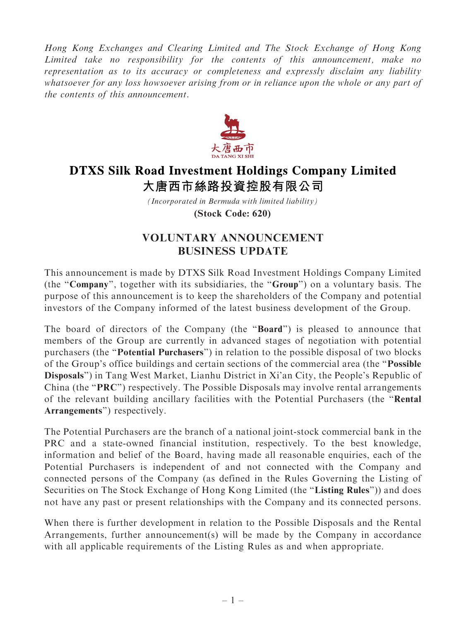Hong Kong Exchanges and Clearing Limited and The Stock Exchange of Hong Kong Limited take no responsibility for the contents of this announcement, make no representation as to its accuracy or completeness and expressly disclaim any liability whatsoever for any loss howsoever arising from or in reliance upon the whole or any part of the contents of this announcement.



## **DTXS Silk Road Investment Holdings Company Limited** 大唐西市絲路投資控股有限公司

*(Incorporated in Bermuda with limited liability)* **(Stock Code: 620)**

## VOLUNTARY ANNOUNCEMENT BUSINESS UPDATE

This announcement is made by DTXS Silk Road Investment Holdings Company Limited (the ''Company'', together with its subsidiaries, the ''Group'') on a voluntary basis. The purpose of this announcement is to keep the shareholders of the Company and potential investors of the Company informed of the latest business development of the Group.

The board of directors of the Company (the "**Board**") is pleased to announce that members of the Group are currently in advanced stages of negotiation with potential purchasers (the ''Potential Purchasers'') in relation to the possible disposal of two blocks of the Group's office buildings and certain sections of the commercial area (the ''Possible Disposals'') in Tang West Market, Lianhu District in Xi'an City, the People's Republic of China (the "PRC") respectively. The Possible Disposals may involve rental arrangements of the relevant building ancillary facilities with the Potential Purchasers (the ''Rental Arrangements'') respectively.

The Potential Purchasers are the branch of a national joint-stock commercial bank in the PRC and a state-owned financial institution, respectively. To the best knowledge, information and belief of the Board, having made all reasonable enquiries, each of the Potential Purchasers is independent of and not connected with the Company and connected persons of the Company (as defined in the Rules Governing the Listing of Securities on The Stock Exchange of Hong Kong Limited (the "Listing Rules")) and does not have any past or present relationships with the Company and its connected persons.

When there is further development in relation to the Possible Disposals and the Rental Arrangements, further announcement(s) will be made by the Company in accordance with all applicable requirements of the Listing Rules as and when appropriate.